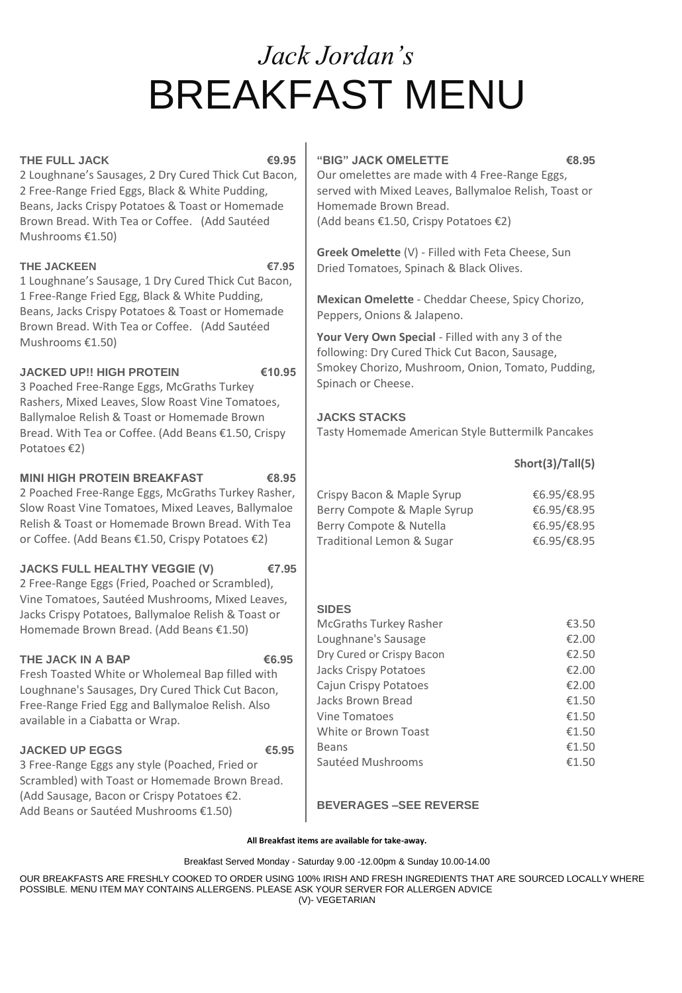# *Jack Jordan's*  BREAKFAST MENU

# **THE FULL JACK €9.95**

2 Loughnane's Sausages, 2 Dry Cured Thick Cut Bacon, 2 Free-Range Fried Eggs, Black & White Pudding, Beans, Jacks Crispy Potatoes & Toast or Homemade Brown Bread. With Tea or Coffee. (Add Sautéed Mushrooms €1.50)

# THE JACKEEN **€7.95**

1 Loughnane's Sausage, 1 Dry Cured Thick Cut Bacon, 1 Free-Range Fried Egg, Black & White Pudding, Beans, Jacks Crispy Potatoes & Toast or Homemade Brown Bread. With Tea or Coffee. (Add Sautéed Mushrooms €1.50)

# **JACKED UP!! HIGH PROTEIN €10.95**

3 Poached Free-Range Eggs, McGraths Turkey Rashers, Mixed Leaves, Slow Roast Vine Tomatoes, Ballymaloe Relish & Toast or Homemade Brown Bread. With Tea or Coffee. (Add Beans €1.50, Crispy Potatoes €2)

# **MINI HIGH PROTEIN BREAKFAST €8.95**

2 Poached Free-Range Eggs, McGraths Turkey Rasher, Slow Roast Vine Tomatoes, Mixed Leaves, Ballymaloe Relish & Toast or Homemade Brown Bread. With Tea or Coffee. (Add Beans €1.50, Crispy Potatoes €2)

# **JACKS FULL HEALTHY VEGGIE (V) €7.95**

2 Free-Range Eggs (Fried, Poached or Scrambled), Vine Tomatoes, Sautéed Mushrooms, Mixed Leaves, Jacks Crispy Potatoes, Ballymaloe Relish & Toast or Homemade Brown Bread. (Add Beans €1.50)

# THE JACK IN A BAP **€6.95**

Fresh Toasted White or Wholemeal Bap filled with Loughnane's Sausages, Dry Cured Thick Cut Bacon, Free-Range Fried Egg and Ballymaloe Relish. Also available in a Ciabatta or Wrap.

# **JACKED UP EGGS €5.95**

3 Free-Range Eggs any style (Poached, Fried or Scrambled) with Toast or Homemade Brown Bread. (Add Sausage, Bacon or Crispy Potatoes €2. Add Beans or Sautéed Mushrooms €1.50)

# **"BIG" JACK OMELETTE €8.95**

Our omelettes are made with 4 Free-Range Eggs, served with Mixed Leaves, Ballymaloe Relish, Toast or Homemade Brown Bread. (Add beans €1.50, Crispy Potatoes €2)

**Greek Omelette** (V) - Filled with Feta Cheese, Sun Dried Tomatoes, Spinach & Black Olives.

**Mexican Omelette** - Cheddar Cheese, Spicy Chorizo, Peppers, Onions & Jalapeno.

**Your Very Own Special** - Filled with any 3 of the following: Dry Cured Thick Cut Bacon, Sausage, Smokey Chorizo, Mushroom, Onion, Tomato, Pudding, Spinach or Cheese.

# **JACKS STACKS**

Tasty Homemade American Style Buttermilk Pancakes

# **Short(3)/Tall(5)**

| Crispy Bacon & Maple Syrup  | €6.95/€8.95 |
|-----------------------------|-------------|
| Berry Compote & Maple Syrup | €6.95/€8.95 |
| Berry Compote & Nutella     | €6.95/€8.95 |
| Traditional Lemon & Sugar   | €6.95/€8.95 |

# **SIDES**

| <b>McGraths Turkey Rasher</b> | €3.50 |
|-------------------------------|-------|
| Loughnane's Sausage           | €2.00 |
| Dry Cured or Crispy Bacon     | €2.50 |
| Jacks Crispy Potatoes         | €2.00 |
| Cajun Crispy Potatoes         | £2.00 |
| Jacks Brown Bread             | €1.50 |
| Vine Tomatoes                 | €1.50 |
| White or Brown Toast          | €1.50 |
| <b>Beans</b>                  | €1.50 |
| Sautéed Mushrooms             | €1.50 |

# **BEVERAGES –SEE REVERSE**

**All Breakfast items are available for take-away.** 

Breakfast Served Monday - Saturday 9.00 -12.00pm & Sunday 10.00-14.00

OUR BREAKFASTS ARE FRESHLY COOKED TO ORDER USING 100% IRISH AND FRESH INGREDIENTS THAT ARE SOURCED LOCALLY WHERE POSSIBLE. MENU ITEM MAY CONTAINS ALLERGENS. PLEASE ASK YOUR SERVER FOR ALLERGEN ADVICE (V)- VEGETARIAN